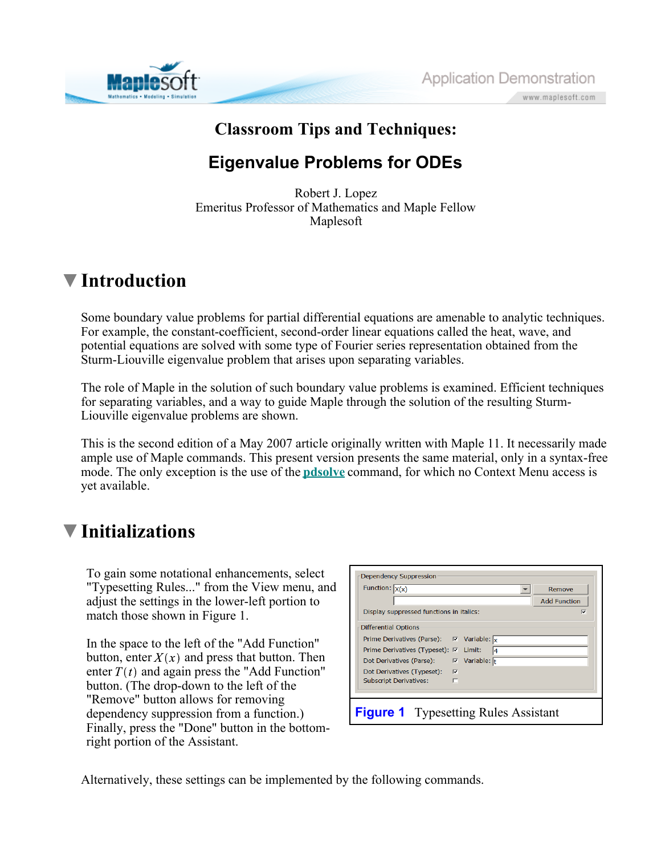



## **Classroom Tips and Techniques:**

### **Eigenvalue Problems for ODEs**

Robert J. Lopez Emeritus Professor of Mathematics and Maple Fellow Maplesoft

### **Introduction**

Some boundary value problems for partial differential equations are amenable to analytic techniques. For example, the constant-coefficient, second-order linear equations called the heat, wave, and potential equations are solved with some type of Fourier series representation obtained from the Sturm-Liouville eigenvalue problem that arises upon separating variables.

The role of Maple in the solution of such boundary value problems is examined. Efficient techniques for separating variables, and a way to guide Maple through the solution of the resulting Sturm-Liouville eigenvalue problems are shown.

This is the second edition of a May 2007 article originally written with Maple 11. It necessarily made ample use of Maple commands. This present version presents the same material, only in a syntax-free mode. The only exception is the use of the **pdsolve** command, for which no Context Menu access is yet available.

## **Initializations**

To gain some notational enhancements, select "Typesetting Rules..." from the View menu, and adjust the settings in the lower-left portion to match those shown in Figure 1.

In the space to the left of the "Add Function" button, enter  $X(x)$  and press that button. Then enter  $T(t)$  and again press the "Add Function" button. (The drop-down to the left of the "Remove" button allows for removing dependency suppression from a function.) Finally, press the "Done" button in the bottomright portion of the Assistant.

| Dependency Suppression                                              |                     |
|---------------------------------------------------------------------|---------------------|
| Function: $X(x)$                                                    | Remove              |
|                                                                     | <b>Add Function</b> |
| Display suppressed functions in italics:                            | М                   |
| Differential Options                                                |                     |
| Prime Derivatives (Parse): $\nabla$ Variable: $\vert_{\mathbf{x}}$  |                     |
| Prime Derivatives (Typeset): 区 Limit:<br>14                         |                     |
| $\overline{v}$ Variable: $\overline{t}$<br>Dot Derivatives (Parse): |                     |
| Dot Derivatives (Typeset):<br>− प्र                                 |                     |
| <b>Subscript Derivatives:</b><br>г                                  |                     |
|                                                                     |                     |
| <b>Figure 1</b> Typesetting Rules Assistant                         |                     |

Alternatively, these settings can be implemented by the following commands.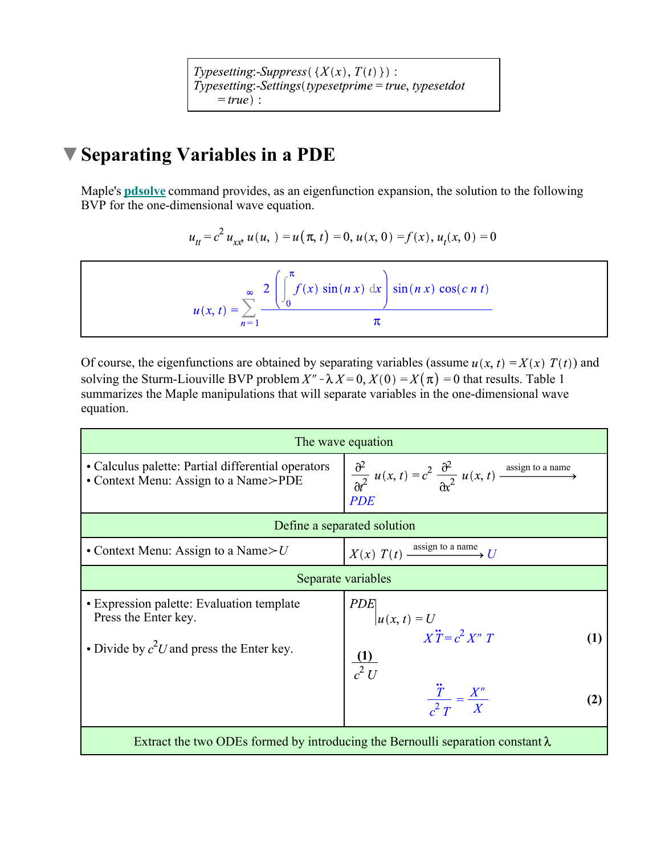Typesetting:-Suppress( $\{X(x), T(t)\}\$ :  $Type setting: \overline{Settings} (type setting = true, typesetdot$  $= true$  :

## **Separating Variables in a PDE**

Maple's **pdsolve** command provides, as an eigenfunction expansion, the solution to the following BVP for the one-dimensional wave equation.

$$
u_{tt} = c^2 u_{xx} u(u, t) = u(\pi, t) = 0, u(x, 0) = f(x), u_t(x, 0) = 0
$$

$$
u(x, t) = \sum_{n=1}^{\infty} \frac{2 \left( \int_0^{\pi} f(x) \sin(nx) dx \right) \sin(nx) \cos(c n t)}{\pi}
$$

Of course, the eigenfunctions are obtained by separating variables (assume  $u(x, t) = X(x) T(t)$ ) and solving the Sturm-Liouville BVP problem  $X'' - \lambda X = 0$ ,  $X(0) = X(\pi) = 0$  that results. Table 1 summarizes the Maple manipulations that will separate variables in the one-dimensional wave equation.

| The wave equation                                                                                                |                                                                                                                        |  |  |
|------------------------------------------------------------------------------------------------------------------|------------------------------------------------------------------------------------------------------------------------|--|--|
| • Calculus palette: Partial differential operators<br>• Context Menu: Assign to a Name>PDE                       | $\frac{\partial^2}{\partial t^2} u(x, t) = c^2 \frac{\partial^2}{\partial x^2} u(x, t)$ assign to a name<br><b>PDE</b> |  |  |
| Define a separated solution                                                                                      |                                                                                                                        |  |  |
| • Context Menu: Assign to a Name $>U$                                                                            | $X(x)$ $T(t)$ $\xrightarrow{\text{assign to a name}} U$                                                                |  |  |
|                                                                                                                  | Separate variables                                                                                                     |  |  |
| • Expression palette: Evaluation template<br>Press the Enter key.<br>• Divide by $c^2U$ and press the Enter key. | <b>PDE</b><br>$ u(x, t) = U$ $X\ddot{T} = c^2 X'' T$<br>$\frac{1}{c^2}$                                                |  |  |
|                                                                                                                  | $\frac{\ddot{T}}{r^2} = \frac{X''}{X}$                                                                                 |  |  |
| Extract the two ODEs formed by introducing the Bernoulli separation constant $\lambda$                           |                                                                                                                        |  |  |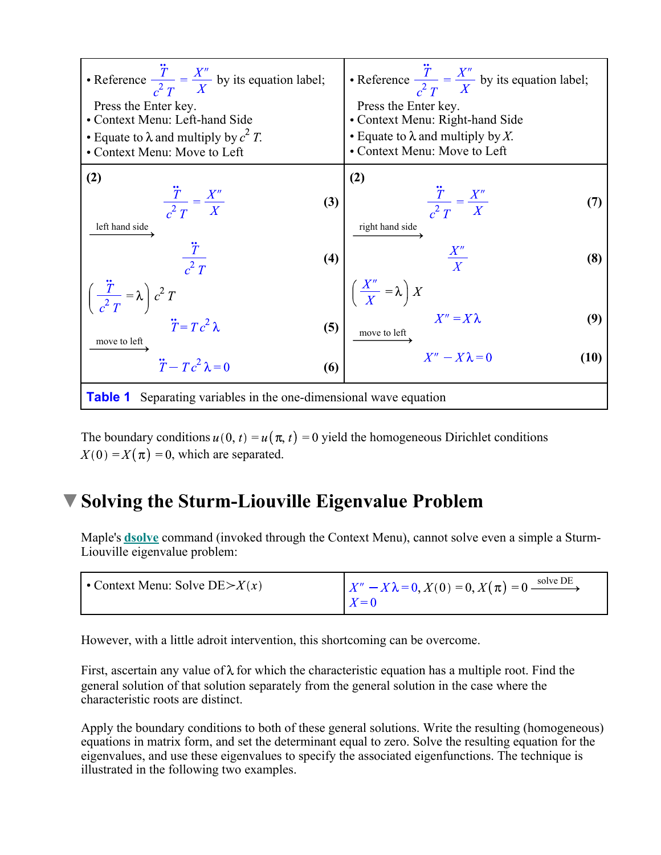

The boundary conditions  $u(0, t) = u(\pi, t) = 0$  yield the homogeneous Dirichlet conditions  $X(0) = X(\pi) = 0$ , which are separated.

### **Solving the Sturm-Liouville Eigenvalue Problem**

Maple's **dsolve** command (invoked through the Context Menu), cannot solve even a simple a Sturm-Liouville eigenvalue problem:

| • Context Menu: Solve DE $\geq X(x)$ | $X'' - X\lambda = 0, X(0) = 0, X(\pi) = 0$ solve DE |
|--------------------------------------|-----------------------------------------------------|
|                                      | $X=0$                                               |

However, with a little adroit intervention, this shortcoming can be overcome.

First, ascertain any value of  $\lambda$  for which the characteristic equation has a multiple root. Find the general solution of that solution separately from the general solution in the case where the characteristic roots are distinct.

Apply the boundary conditions to both of these general solutions. Write the resulting (homogeneous) equations in matrix form, and set the determinant equal to zero. Solve the resulting equation for the eigenvalues, and use these eigenvalues to specify the associated eigenfunctions. The technique is illustrated in the following two examples.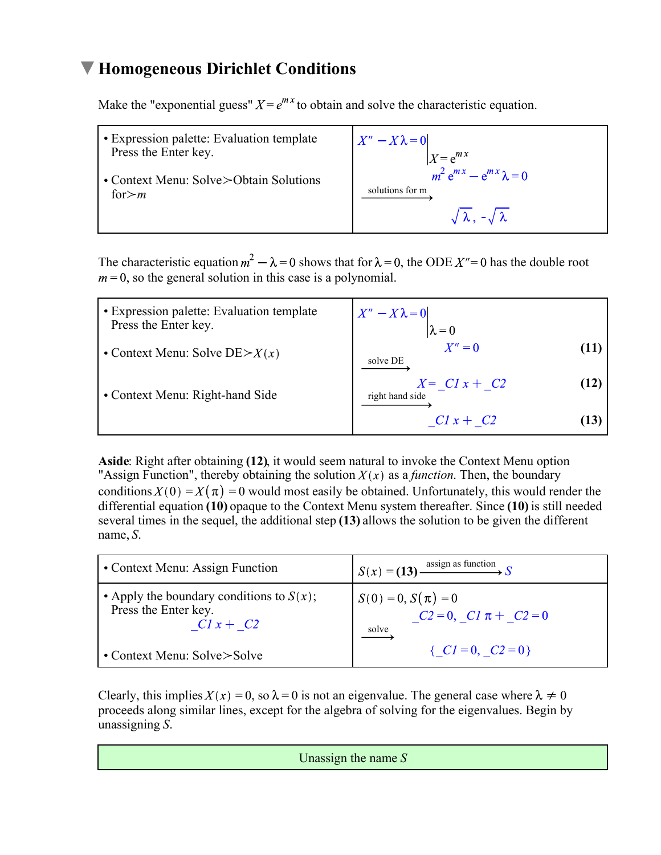#### **Homogeneous Dirichlet Conditions**

Make the "exponential guess"  $X = e^{mx}$  to obtain and solve the characteristic equation.

| • Expression palette: Evaluation template | $X'' - X\lambda = 0$                 |
|-------------------------------------------|--------------------------------------|
| Press the Enter key.                      | $X = e^{mx}$                         |
| • Context Menu: Solve>Obtain Solutions    | $m^2 e^{mx} - e^{mx} \lambda = 0$    |
| for $>m$                                  | solutions for m                      |
|                                           | $\sqrt{\lambda}$ , $-\sqrt{\lambda}$ |

The characteristic equation  $m^2 - \lambda = 0$  shows that for  $\lambda = 0$ , the ODE  $X'' = 0$  has the double root  $m = 0$ , so the general solution in this case is a polynomial.

| • Expression palette: Evaluation template<br>Press the Enter key. | $X'' - X\lambda = 0$<br>$\lambda = 0$      |
|-------------------------------------------------------------------|--------------------------------------------|
| • Context Menu: Solve $DE \geq X(x)$                              | $X''=0$<br>11<br>solve DE                  |
| • Context Menu: Right-hand Side                                   | $X = CI x + C2$<br>(12)<br>right hand side |
|                                                                   | $C1x + C2$<br>13                           |

**Aside**: Right after obtaining **(12)**, it would seem natural to invoke the Context Menu option "Assign Function", thereby obtaining the solution  $X(x)$  as a *function*. Then, the boundary conditions  $X(0) = X(\pi) = 0$  would most easily be obtained. Unfortunately, this would render the differential equation **(10)** opaque to the Context Menu system thereafter. Since **(10)** is still needed several times in the sequel, the additional step **(13)** allows the solution to be given the different name, *S*.

| • Context Menu: Assign Function                                                    | $\int S(x) = (13)$ assign as function                           |
|------------------------------------------------------------------------------------|-----------------------------------------------------------------|
| • Apply the boundary conditions to $S(x)$ ;<br>Press the Enter key.<br>$CI x + C2$ | $S(0) = 0, S(\pi) = 0$<br>$C2 = 0$ , $C1 \pi + C2 = 0$<br>solve |
| • Context Menu: $Solve > Solve$                                                    | { $CI = 0$ , $C2 = 0$ }                                         |

Clearly, this implies  $X(x) = 0$ , so  $\lambda = 0$  is not an eigenvalue. The general case where  $\lambda \neq 0$ proceeds along similar lines, except for the algebra of solving for the eigenvalues. Begin by unassigning *S*.

Unassign the name *S*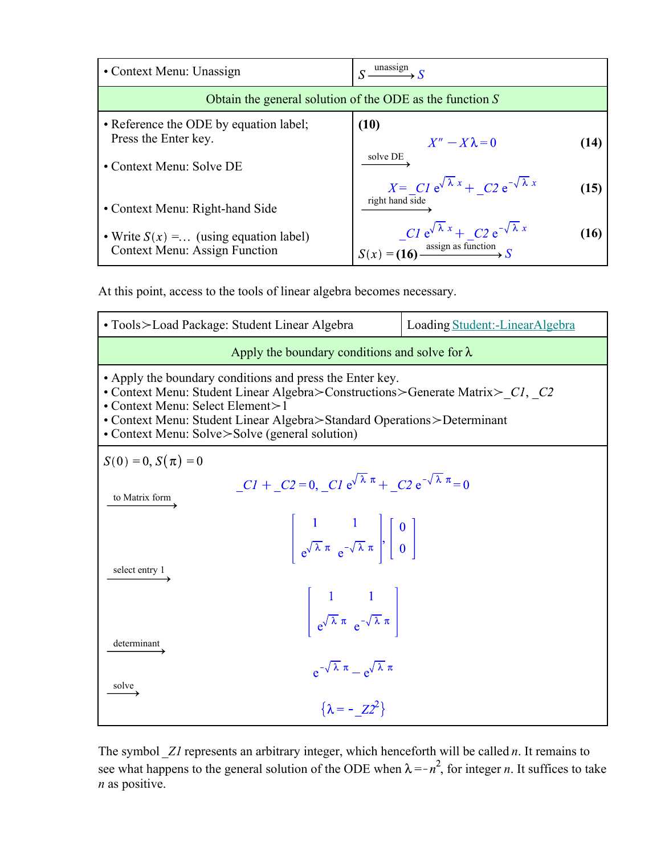| • Context Menu: Unassign                                                                   | unassign                                                                                                                           |
|--------------------------------------------------------------------------------------------|------------------------------------------------------------------------------------------------------------------------------------|
|                                                                                            | Obtain the general solution of the ODE as the function $S$                                                                         |
| • Reference the ODE by equation label;<br>Press the Enter key.<br>• Context Menu: Solve DE | (10)<br>$X'' - X\lambda = 0$<br>(14)<br>solve DE                                                                                   |
| • Context Menu: Right-hand Side                                                            | $X = CI e^{\sqrt{\lambda} x} + C2 e^{-\sqrt{\lambda} x}$<br>(15)<br>right hand side                                                |
| • Write $S(x) = \dots$ (using equation label)<br><b>Context Menu: Assign Function</b>      | $\Bigg  \frac{Cl e^{\sqrt{\lambda} x} + C 2 e^{-\sqrt{\lambda} x}}{S(x) = (16) \xrightarrow{\text{assign as function}} S}$<br>(16) |

At this point, access to the tools of linear algebra becomes necessary.

| • Tools > Load Package: Student Linear Algebra                                                                                                                                                                                                                                                                                               | Loading Student:-LinearAlgebra |  |
|----------------------------------------------------------------------------------------------------------------------------------------------------------------------------------------------------------------------------------------------------------------------------------------------------------------------------------------------|--------------------------------|--|
| Apply the boundary conditions and solve for $\lambda$                                                                                                                                                                                                                                                                                        |                                |  |
| • Apply the boundary conditions and press the Enter key.<br>• Context Menu: Student Linear Algebra>Constructions>Generate Matrix> Cl, C2<br>• Context Menu: Select Element>1<br>• Context Menu: Student Linear Algebra>Standard Operations>Determinant<br>• Context Menu: Solve>Solve (general solution)                                     |                                |  |
| $S(0) = 0, S(\pi) = 0$                                                                                                                                                                                                                                                                                                                       |                                |  |
| $CI + C2 = 0$ , $CI e^{\sqrt{\lambda} \pi} + C2 e^{-\sqrt{\lambda} \pi} = 0$<br>to Matrix form<br>$\begin{vmatrix} 1 & 1 \\ e^{\sqrt{\lambda} \pi} e^{-\sqrt{\lambda} \pi} \end{vmatrix}, \begin{vmatrix} 0 \\ 0 \end{vmatrix}$<br>select entry 1<br>$\begin{vmatrix} 1 & 1 \\ e^{\sqrt{\lambda} \pi} e^{-\sqrt{\lambda} \pi} \end{vmatrix}$ |                                |  |
| determinant<br>$e^{-\sqrt{\lambda} \pi} - e^{\sqrt{\lambda} \pi}$<br>solve<br>$\{\lambda = -Z^{2}\}\$                                                                                                                                                                                                                                        |                                |  |

The symbol *\_Z1* represents an arbitrary integer, which henceforth will be called *n*. It remains to see what happens to the general solution of the ODE when  $\lambda = -n^2$ , for integer *n*. It suffices to take *n* as positive.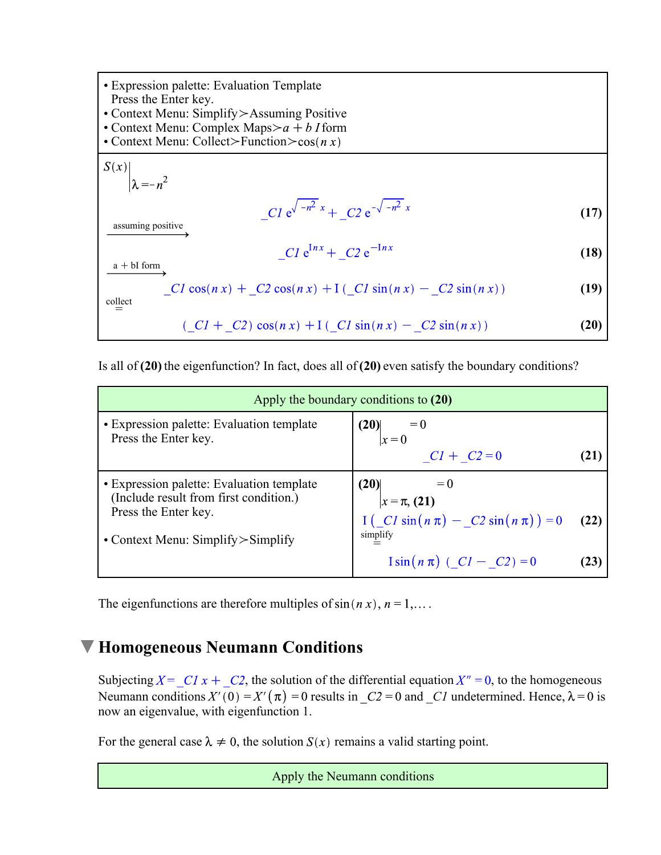Expression palette: Evaluation Template Press the Enter key. • Context Menu: Simplify > Assuming Positive • Context Menu: Complex Maps $>a + b$  I form • Context Menu: Collect>Function> $\cos(n x)$  $S(x)$  $\lambda = -n^2$  $C1 e^{\sqrt{-n^2} x} + C2 e^{-\sqrt{-n^2} x}$ **(17)** assuming positive  $C1 e^{Inx} + C2 e^{-Inx}$ **(18)**  $a + bI$  form  $CI \cos(n x) + C2 \cos(n x) + I (CI \sin(n x) - C2 \sin(n x))$ **(19)**  $\stackrel{\text{collect}}{=}$  $(CI + C2) \cos(nx) + \frac{1}{2}(C1 \sin(nx) - C2 \sin(nx))$ **(20)**

Is all of **(20)** the eigenfunction? In fact, does all of **(20)** even satisfy the boundary conditions?

| Apply the boundary conditions to (20)                                               |                                                                                  |      |
|-------------------------------------------------------------------------------------|----------------------------------------------------------------------------------|------|
| • Expression palette: Evaluation template<br>Press the Enter key.                   | $(20)$<br>$x = 0$<br>$CI + C2 = 0$                                               | 21   |
|                                                                                     |                                                                                  |      |
| • Expression palette: Evaluation template<br>(Include result from first condition.) | (20)<br>$= 0$<br>$x = \pi$ , (21)                                                |      |
| Press the Enter key.                                                                | $I\left(\begin{array}{c c}CI\sin(n\pi) & -\_C 2\sin(n\pi)\end{array}\right) = 0$ | (22) |
| • Context Menu: Simplify $>$ Simplify                                               | simplify                                                                         |      |
|                                                                                     | $\sin(n \pi)$ ( $CI - C2$ ) = 0                                                  | 23   |

The eigenfunctions are therefore multiples of  $sin(n x)$ ,  $n = 1,...$ 

#### **Homogeneous Neumann Conditions**

Subjecting  $X = C1x + C2$ , the solution of the differential equation  $X'' = 0$ , to the homogeneous Neumann conditions  $X'(0) = X'(\pi) = 0$  results in  $C_2 = 0$  and  $C_1$  undetermined. Hence,  $\lambda = 0$  is now an eigenvalue, with eigenfunction 1.

For the general case  $\lambda \neq 0$ , the solution  $S(x)$  remains a valid starting point.

Apply the Neumann conditions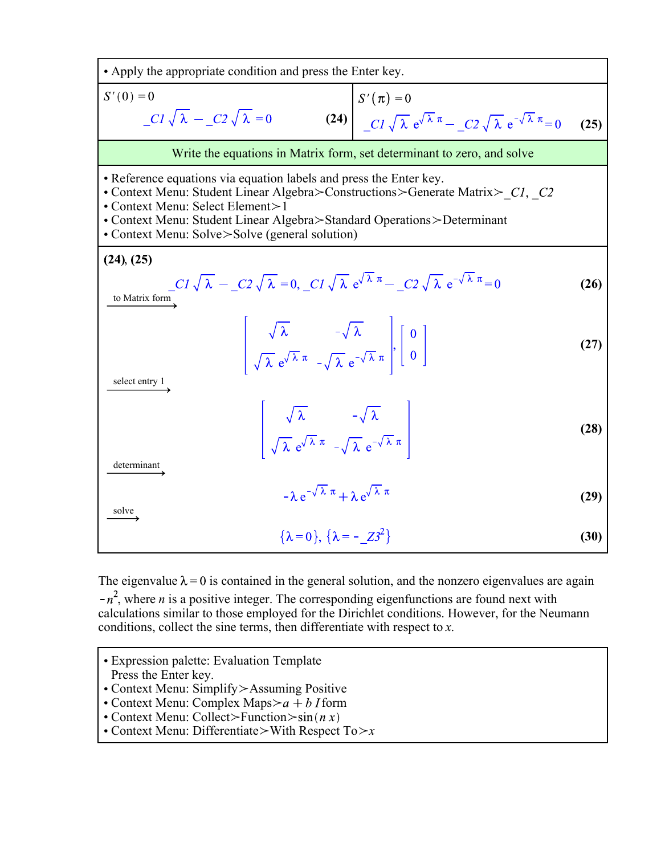

The eigenvalue  $\lambda = 0$  is contained in the general solution, and the nonzero eigenvalues are again  $-n^2$ , where *n* is a positive integer. The corresponding eigenfunctions are found next with calculations similar to those employed for the Dirichlet conditions. However, for the Neumann conditions, collect the sine terms, then differentiate with respect to *x*.

- Expression palette: Evaluation Template Press the Enter key.
- Context Menu: Simplify > Assuming Positive
- Context Menu: Complex Maps $>a + b$  I form
- Context Menu: Collect>Function> $\sin(n x)$
- Context Menu: Differentiate > With Respect  $To \rightarrow x$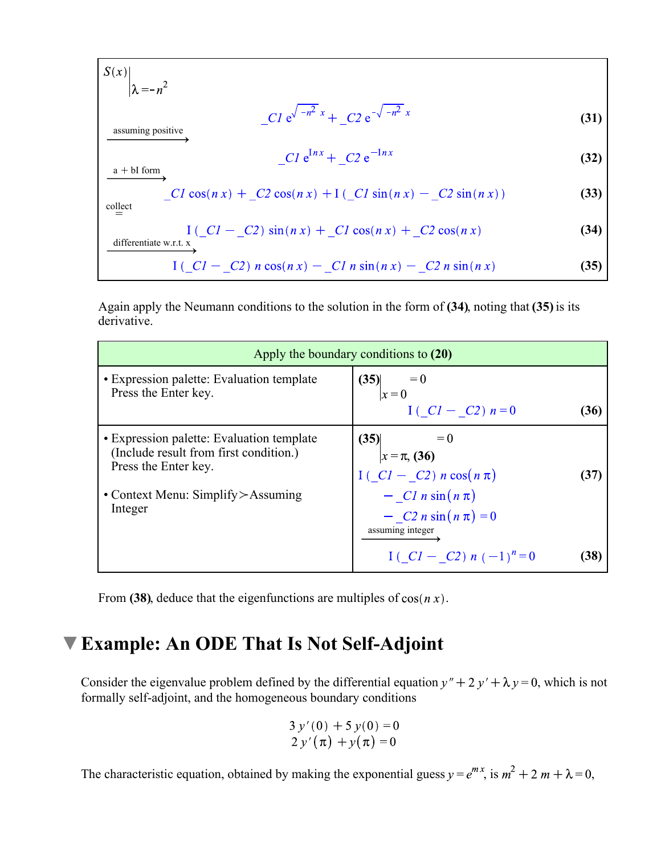$$
S(x) \Big|_{\lambda = -n^2}
$$
  
\n
$$
= C1 e^{\sqrt{-n^2} x} + C2 e^{-\sqrt{-n^2} x}
$$
  
\n
$$
= C1 e^{\ln x} + C2 e^{-\ln x}
$$
  
\n
$$
= C1 \cos(n x) + C2 \cos(n x) + I (-C1 \sin(n x) - C2 \sin(n x))
$$
  
\n
$$
= \frac{I (-C1 - C2) \sin(n x) + C1 \cos(n x) + C2 \cos(n x)}{I (-C1 - C2) \sin(n x) + C1 \cos(n x) - C2 \sin(n x)}
$$
  
\n
$$
= \frac{I (-C1 - C2) \sin(n x) - C1 n \sin(n x) - C2 n \sin(n x)}{I (-C1 - C2) n \cos(n x) - C1 n \sin(n x) - C2 n \sin(n x)}
$$
  
\n(35)

Again apply the Neumann conditions to the solution in the form of **(34)**, noting that **(35)** is its derivative.

|                                                                                                                                                        | Apply the boundary conditions to (20)                                                      |      |
|--------------------------------------------------------------------------------------------------------------------------------------------------------|--------------------------------------------------------------------------------------------|------|
| • Expression palette: Evaluation template<br>Press the Enter key.                                                                                      | (35)<br>$= 0$<br>$\vert x = 0$                                                             |      |
|                                                                                                                                                        | $I(.CI - C2) n = 0$                                                                        | (36) |
| • Expression palette: Evaluation template<br>(Include result from first condition.)<br>Press the Enter key.<br>• Context Menu: Simplify $>\!$ Assuming | (35)<br>$ x = \pi, (36)$<br>$I(\angle CL - \angle 2) n \cos(n \pi)$<br>$-CI n \sin(n \pi)$ | 137) |
| Integer                                                                                                                                                | $- C2 n \sin(n \pi) = 0$<br>assuming integer<br>$1(-C1 - C2) n (-1)^n = 0$                 | (38) |

From (38), deduce that the eigenfunctions are multiples of  $cos(n x)$ .

#### **Example: An ODE That Is Not Self-Adjoint**

Consider the eigenvalue problem defined by the differential equation  $y'' + 2y' + \lambda y = 0$ , which is not formally self-adjoint, and the homogeneous boundary conditions

$$
3 y'(0) + 5 y(0) = 0
$$
  
2 y'(\pi) + y(\pi) = 0

The characteristic equation, obtained by making the exponential guess  $y = e^{mx}$ , is  $m^2 + 2m + \lambda = 0$ ,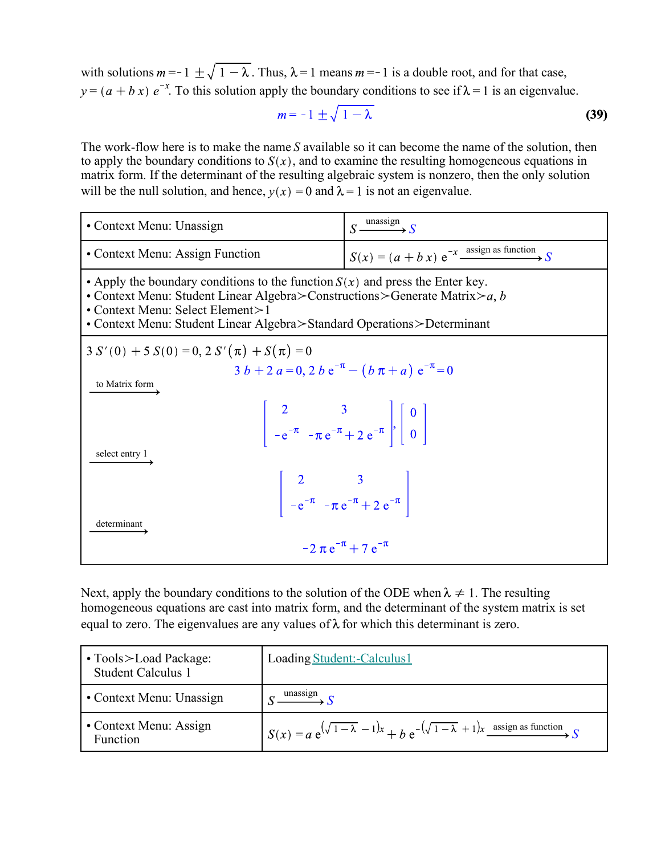with solutions  $m = -1 \pm \sqrt{1 - \lambda}$ . Thus,  $\lambda = 1$  means  $m = -1$  is a double root, and for that case,  $v = (a + bx) e^{-x}$ . To this solution apply the boundary conditions to see if  $\lambda = 1$  is an eigenvalue.

$$
m = -1 \pm \sqrt{1 - \lambda} \tag{39}
$$

The work-flow here is to make the name *S* available so it can become the name of the solution, then to apply the boundary conditions to  $S(x)$ , and to examine the resulting homogeneous equations in matrix form. If the determinant of the resulting algebraic system is nonzero, then the only solution will be the null solution, and hence,  $v(x) = 0$  and  $\lambda = 1$  is not an eigenvalue.

| • Context Menu: Unassign                                                                                                                                                                                                                                                       | $S \xrightarrow{\text{unassign}} S$                                                                                   |  |
|--------------------------------------------------------------------------------------------------------------------------------------------------------------------------------------------------------------------------------------------------------------------------------|-----------------------------------------------------------------------------------------------------------------------|--|
| • Context Menu: Assign Function                                                                                                                                                                                                                                                | $S(x) = (a + b x) e^{-x}$ assign as function                                                                          |  |
| • Apply the boundary conditions to the function $S(x)$ and press the Enter key.<br>• Context Menu: Student Linear Algebra>Constructions>Generate Matrix>a, b<br>• Context Menu: Select Element>1<br>• Context Menu: Student Linear Algebra > Standard Operations > Determinant |                                                                                                                       |  |
| $3 S'(0) + 5 S(0) = 0, 2 S'(\pi) + S(\pi) = 0$                                                                                                                                                                                                                                 |                                                                                                                       |  |
| $3 b + 2 a = 0$ , $2 b e^{-\pi} - (b \pi + a) e^{-\pi} = 0$<br>to Matrix form                                                                                                                                                                                                  |                                                                                                                       |  |
|                                                                                                                                                                                                                                                                                | $\begin{vmatrix} 2 & 3 \\ -e^{-\pi} & -\pi e^{-\pi} + 2 e^{-\pi} \end{vmatrix}, \begin{vmatrix} 0 \\ 0 \end{vmatrix}$ |  |
| select entry 1<br>determinant                                                                                                                                                                                                                                                  | $\begin{vmatrix} 2 & 3 \\ -e^{-\pi} & -\pi e^{-\pi} + 2 e^{-\pi} \end{vmatrix}$                                       |  |
|                                                                                                                                                                                                                                                                                | $-2 \pi e^{-\pi} + 7 e^{-\pi}$                                                                                        |  |

Next, apply the boundary conditions to the solution of the ODE when  $\lambda \neq 1$ . The resulting homogeneous equations are cast into matrix form, and the determinant of the system matrix is set equal to zero. The eigenvalues are any values of  $\lambda$  for which this determinant is zero.

| $\cdot$ Tools $>$ Load Package:<br><b>Student Calculus 1</b> | Loading Student:-Calculus1                                                                      |
|--------------------------------------------------------------|-------------------------------------------------------------------------------------------------|
| $\cdot$ Context Menu: Unassign                               | unassıgn                                                                                        |
| • Context Menu: Assign<br>Function                           | $\int S(x) = a e^{(\sqrt{1-\lambda} - 1)x} + b e^{-(\sqrt{1-\lambda} + 1)x}$ assign as function |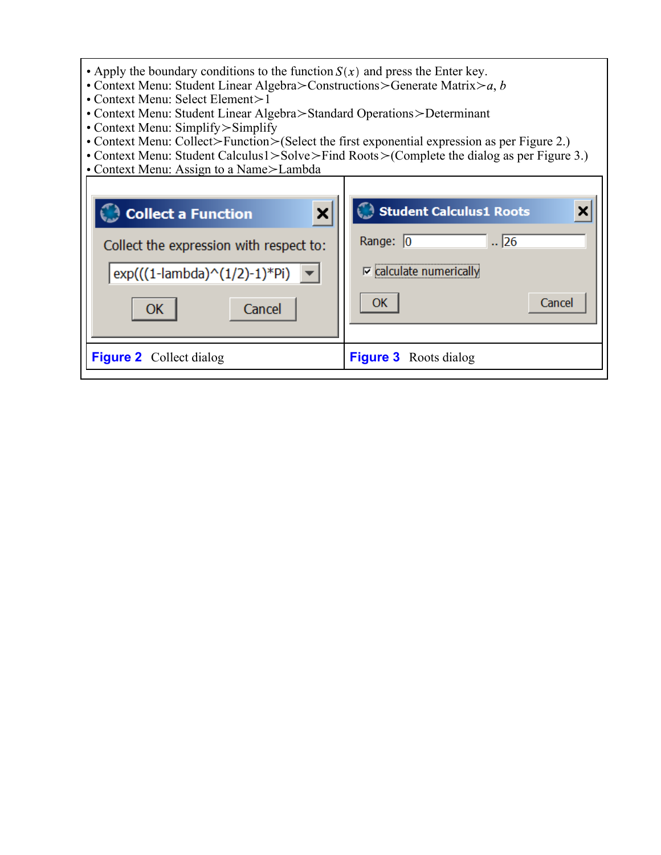| • Apply the boundary conditions to the function $S(x)$ and press the Enter key.<br>• Context Menu: Student Linear Algebra > Constructions > Generate Matrix > a, b<br>• Context Menu: Select Element>1<br>• Context Menu: Student Linear Algebra > Standard Operations > Determinant<br>• Context Menu: Simplify > Simplify<br>• Context Menu: Collect>Function>(Select the first exponential expression as per Figure 2.)<br>• Context Menu: Student Calculus1>Solve>Find Roots>(Complete the dialog as per Figure 3.)<br>• Context Menu: Assign to a Name>Lambda |                                                                                                                |  |
|--------------------------------------------------------------------------------------------------------------------------------------------------------------------------------------------------------------------------------------------------------------------------------------------------------------------------------------------------------------------------------------------------------------------------------------------------------------------------------------------------------------------------------------------------------------------|----------------------------------------------------------------------------------------------------------------|--|
| ×<br><b>Collect a Function</b><br>Collect the expression with respect to:<br>$exp(((1$ -lambda $)^(1/2)$ -1)*Pi<br>Cancel<br>ОК                                                                                                                                                                                                                                                                                                                                                                                                                                    | Student Calculus1 Roots<br>$\sqrt{26}$<br>Range: $\boxed{0}$<br>$\nabla$ calculate numerically<br>Cancel<br>ОК |  |
| <b>Figure 2</b> Collect dialog                                                                                                                                                                                                                                                                                                                                                                                                                                                                                                                                     | <b>Figure 3</b> Roots dialog                                                                                   |  |

I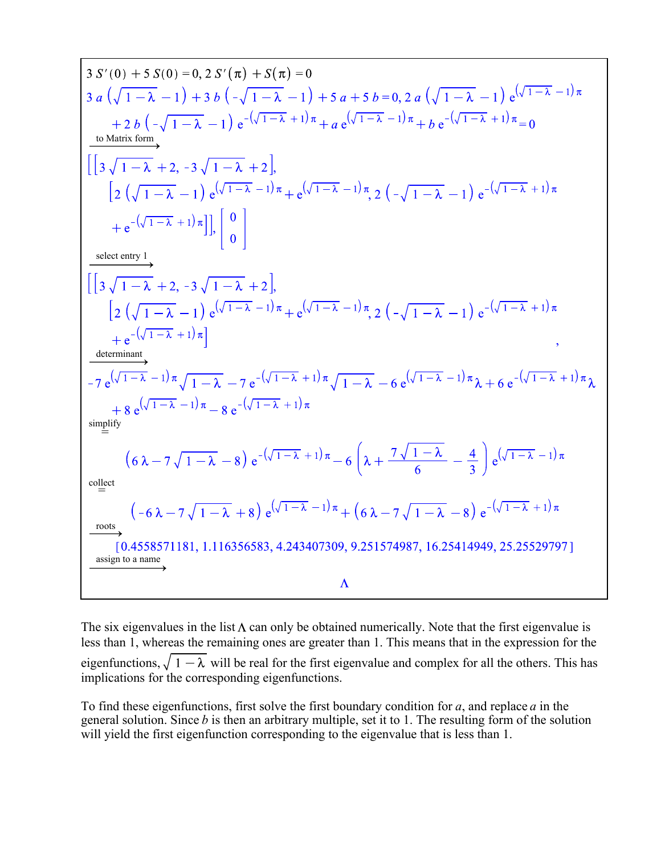3 
$$
S'(0) + 5 S(0) = 0, 2 S'(\pi) + S(\pi) = 0
$$
  
\n3  $a(\sqrt{1-\lambda}-1)+3 b(-\sqrt{1-\lambda}-1)+5 a+5 b=0, 2 a(\sqrt{1-\lambda}-1) e^{(\sqrt{1-\lambda}-1)\pi}$   
\n+  $2 b(-\sqrt{1-\lambda}-1) e^{-(\sqrt{1-\lambda}+1)\pi} + a e^{(\sqrt{1-\lambda}-1)\pi} + b e^{-(\sqrt{1-\lambda}+1)\pi} = 0$   
\n10 **Matrix form**  
\n1  $\left[\left[3 \sqrt{1-\lambda}+2,-3 \sqrt{1-\lambda}+2\right],$   
\n $\left[2 (\sqrt{1-\lambda}-1) e^{(\sqrt{1-\lambda}-1)\pi} + e^{(\sqrt{1-\lambda}-1)\pi}, 2 (-\sqrt{1-\lambda}-1) e^{-(\sqrt{1-\lambda}+1)\pi}\right.\right]$   
\n+  $e^{-(\sqrt{1-\lambda}+1)\pi}$ ]  
\n $\left[\left[3 \sqrt{1-\lambda}+2,-3 \sqrt{1-\lambda}+2\right],$   
\n $\left[2 (\sqrt{1-\lambda}-1) e^{(\sqrt{1-\lambda}-1)\pi} + e^{(\sqrt{1-\lambda}-1)\pi}, 2 (-\sqrt{1-\lambda}-1) e^{-(\sqrt{1-\lambda}+1)\pi}\right.\right]$   
\n+  $e^{-(\sqrt{1-\lambda}+1)\pi}$ ]  
\n $-7 e^{(\sqrt{1-\lambda}-1)\pi} \sqrt{1-\lambda}-7 e^{-(\sqrt{1-\lambda}+1)\pi} \sqrt{1-\lambda}-6 e^{(\sqrt{1-\lambda}-1)\pi} \lambda+6 e^{-(\sqrt{1-\lambda}+1)\pi} \lambda$   
\n+  $8 e^{(\sqrt{1-\lambda}-1)\pi} \sqrt{1-\lambda}-7 e^{-(\sqrt{1-\lambda}+1)\pi}$   
\n $+8 e^{(\sqrt{1-\lambda}-1)\pi} -8 e^{-(\sqrt{1-\lambda}+1)\pi}$   
\n $\left(6 \lambda-7 \sqrt{1-\lambda}-8\right) e^{-(\sqrt{1-\lambda}-1)\pi} + (6 \lambda-7 \sqrt{1-\lambda}-8) e^{-(\sqrt{1-\lambda}-1)\pi}$   
\n $\left[0.4558571181, 1.116356583, 4.243407309, 9.251574987$ 

The six eigenvalues in the list  $\Lambda$  can only be obtained numerically. Note that the first eigenvalue is less than 1, whereas the remaining ones are greater than 1. This means that in the expression for the eigenfunctions,  $\sqrt{1-\lambda}$  will be real for the first eigenvalue and complex for all the others. This has implications for the corresponding eigenfunctions.

To find these eigenfunctions, first solve the first boundary condition for *a*, and replace *a* in the general solution. Since *b* is then an arbitrary multiple, set it to 1. The resulting form of the solution will yield the first eigenfunction corresponding to the eigenvalue that is less than 1.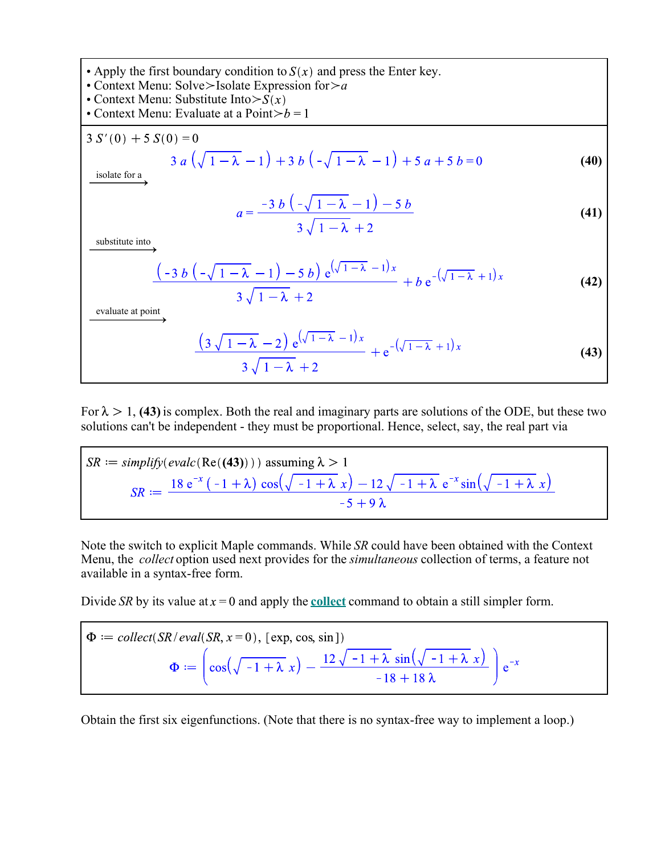• Apply the first boundary condition to 
$$
S(x)
$$
 and press the Enter key.

Context Menu: Solve\_Isolate Expression for\_*a*

Context Menu: Substitute Into>

• Context Menu: Evaluate at a Point $>b = 1$ 

$$
3 S'(0) + 5 S(0) = 0
$$
  
\n
$$
3 a (\sqrt{1 - \lambda} - 1) + 3 b (-\sqrt{1 - \lambda} - 1) + 5 a + 5 b = 0
$$
  
\n
$$
a = \frac{-3 b (-\sqrt{1 - \lambda} - 1) - 5 b}{3 \sqrt{1 - \lambda} + 2}
$$
\n(41)

$$
\frac{(-3 b (-\sqrt{1-\lambda}-1)-5 b) e^{(\sqrt{1-\lambda}-1)x}}{3 \sqrt{1-\lambda}+2} + b e^{-(\sqrt{1-\lambda}+1)x}
$$
 (42)

evaluate at point

$$
\frac{(3\sqrt{1-\lambda}-2)e^{(\sqrt{1-\lambda}-1)x}}{3\sqrt{1-\lambda}+2} + e^{-(\sqrt{1-\lambda}+1)x}
$$
\n(43)

For  $\lambda > 1$ , (43) is complex. Both the real and imaginary parts are solutions of the ODE, but these two solutions can't be independent - they must be proportional. Hence, select, say, the real part via

$$
SR := simplify(evalc(Re((43)))) \text{ assuming } \lambda > 1
$$
  

$$
SR := \frac{18 e^{-x} (-1 + \lambda) \cos(\sqrt{-1 + \lambda} x) - 12 \sqrt{-1 + \lambda} e^{-x} \sin(\sqrt{-1 + \lambda} x)}{-5 + 9 \lambda}
$$

Note the switch to explicit Maple commands. While *SR* could have been obtained with the Context Menu, the *collect* option used next provides for the *simultaneous* collection of terms, a feature not available in a syntax-free form.

Divide *SR* by its value at  $x = 0$  and apply the **collect** command to obtain a still simpler form.

$$
\Phi := \text{collect}(SR/\text{eval}(SR, x=0), [\text{exp, cos, sin}])
$$
\n
$$
\Phi := \left(\cos\left(\sqrt{-1 + \lambda} x\right) - \frac{12\sqrt{-1 + \lambda} \sin\left(\sqrt{-1 + \lambda} x\right)}{-18 + 18\lambda}\right) e^{-x}
$$

Obtain the first six eigenfunctions. (Note that there is no syntax-free way to implement a loop.)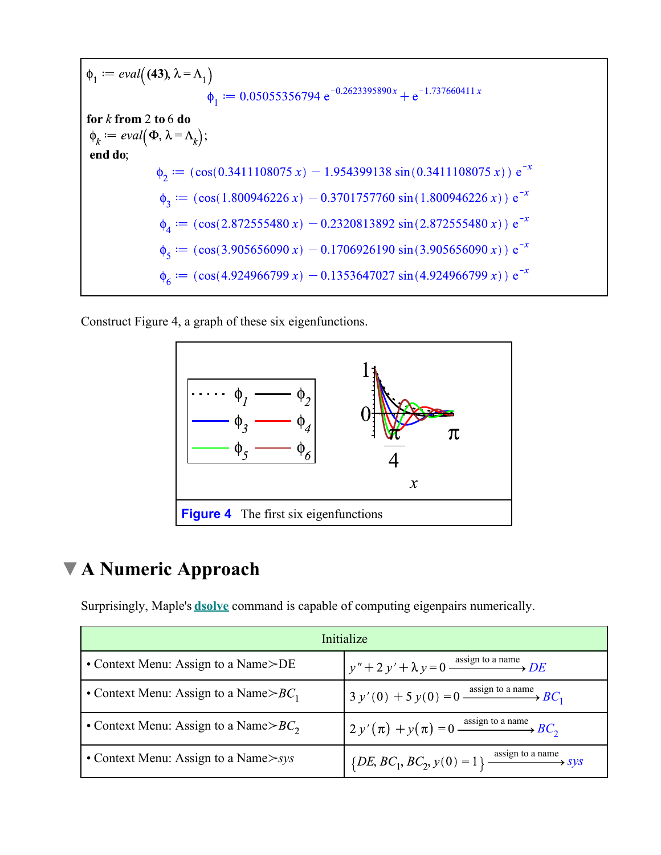$$
\begin{aligned}\n\phi_1 &:= \text{eval}\left((43), \lambda = \Lambda_1\right) \\
\phi_1 &:= 0.05055356794 \text{ e}^{-0.2623395890x} + \text{e}^{-1.737660411x} \\
\text{for } k \text{ from 2 to 6 do} \\
\phi_k &:= \text{eval}\left(\Phi, \lambda = \Lambda_k\right); \\
\text{end do;} \\
\phi_2 &:= (\cos(0.3411108075 \text{ x}) - 1.954399138 \sin(0.3411108075 \text{ x})) \text{ e}^{-x} \\
\phi_3 &:= (\cos(1.800946226 \text{ x}) - 0.3701757760 \sin(1.800946226 \text{ x})) \text{ e}^{-x} \\
\phi_4 &:= (\cos(2.872555480 \text{ x}) - 0.2320813892 \sin(2.872555480 \text{ x})) \text{ e}^{-x} \\
\phi_5 &:= (\cos(3.905656090 \text{ x}) - 0.1706926190 \sin(3.905656090 \text{ x})) \text{ e}^{-x} \\
\phi_6 &:= (\cos(4.924966799 \text{ x}) - 0.1353647027 \sin(4.924966799 \text{ x})) \text{ e}^{-x}\n\end{aligned}
$$

Construct Figure 4, a graph of these six eigenfunctions.



# **A Numeric Approach**

Surprisingly, Maple's **dsolve** command is capable of computing eigenpairs numerically.

| Initialize                                |                                                                      |
|-------------------------------------------|----------------------------------------------------------------------|
| • Context Menu: Assign to a Name>DE       | $y'' + 2y' + \lambda y = 0 \xrightarrow{\text{assign to a name}} DE$ |
| • Context Menu: Assign to a Name $> BC_1$ | $3 y'(0) + 5 y(0) = 0$ assign to a name $BC_1$                       |
| • Context Menu: Assign to a Name $> BC_2$ | $2 y'(\pi) + y(\pi) = 0$ assign to a name $BC_2$                     |
| • Context Menu: Assign to a Name $>$ sys  | $\{DE, BC_1, BC_2, y(0) = 1\}$ assign to a name system               |